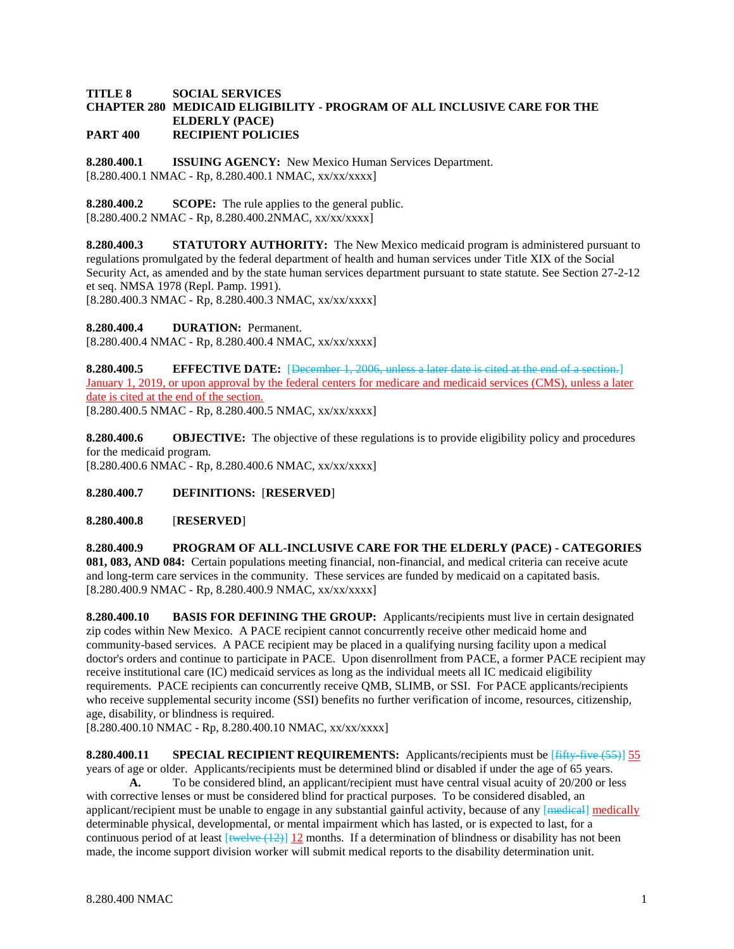## **TITLE 8 SOCIAL SERVICES CHAPTER 280 MEDICAID ELIGIBILITY - PROGRAM OF ALL INCLUSIVE CARE FOR THE ELDERLY (PACE) PART 400 RECIPIENT POLICIES**

**8.280.400.1 ISSUING AGENCY:** New Mexico Human Services Department. [8.280.400.1 NMAC - Rp, 8.280.400.1 NMAC, xx/xx/xxxx]

**8.280.400.2 SCOPE:** The rule applies to the general public.  $[8.280.400.2 \text{ NMAC - Rp}, 8.280.400.2 \text{ NMAC}, xx/xxxx]$ 

**8.280.400.3 STATUTORY AUTHORITY:** The New Mexico medicaid program is administered pursuant to regulations promulgated by the federal department of health and human services under Title XIX of the Social Security Act, as amended and by the state human services department pursuant to state statute. See Section 27-2-12 et seq. NMSA 1978 (Repl. Pamp. 1991).

[8.280.400.3 NMAC - Rp, 8.280.400.3 NMAC, xx/xx/xxxx]

**8.280.400.4 DURATION:** Permanent.

[8.280.400.4 NMAC - Rp, 8.280.400.4 NMAC, xx/xx/xxxx]

**8.280.400.5 EFFECTIVE DATE:** [December 1, 2006, unless a later date is cited at the end of a section.] January 1, 2019, or upon approval by the federal centers for medicare and medicaid services (CMS), unless a later date is cited at the end of the section. [8.280.400.5 NMAC - Rp, 8.280.400.5 NMAC, xx/xx/xxxx]

**8.280.400.6 OBJECTIVE:** The objective of these regulations is to provide eligibility policy and procedures for the medicaid program. [8.280.400.6 NMAC - Rp, 8.280.400.6 NMAC, xx/xx/xxxx]

**8.280.400.7 DEFINITIONS:** [**RESERVED**]

**8.280.400.8** [**RESERVED**]

**8.280.400.9 PROGRAM OF ALL-INCLUSIVE CARE FOR THE ELDERLY (PACE) - CATEGORIES 081, 083, AND 084:** Certain populations meeting financial, non-financial, and medical criteria can receive acute and long-term care services in the community. These services are funded by medicaid on a capitated basis. [8.280.400.9 NMAC - Rp, 8.280.400.9 NMAC, xx/xx/xxxx]

**8.280.400.10 BASIS FOR DEFINING THE GROUP:** Applicants/recipients must live in certain designated zip codes within New Mexico. A PACE recipient cannot concurrently receive other medicaid home and community-based services. A PACE recipient may be placed in a qualifying nursing facility upon a medical doctor's orders and continue to participate in PACE. Upon disenrollment from PACE, a former PACE recipient may receive institutional care (IC) medicaid services as long as the individual meets all IC medicaid eligibility requirements. PACE recipients can concurrently receive QMB, SLIMB, or SSI. For PACE applicants/recipients who receive supplemental security income (SSI) benefits no further verification of income, resources, citizenship, age, disability, or blindness is required.

[8.280.400.10 NMAC - Rp, 8.280.400.10 NMAC, xx/xx/xxxx]

**8.280.400.11 SPECIAL RECIPIENT REQUIREMENTS:** Applicants/recipients must be [fifty-five (55)] 55 years of age or older. Applicants/recipients must be determined blind or disabled if under the age of 65 years.

**A.** To be considered blind, an applicant/recipient must have central visual acuity of 20/200 or less with corrective lenses or must be considered blind for practical purposes. To be considered disabled, an applicant/recipient must be unable to engage in any substantial gainful activity, because of any  $[$ <del>medical</del> $]$  medically determinable physical, developmental, or mental impairment which has lasted, or is expected to last, for a continuous period of at least  $\frac{1}{2}$  twelve (12)] 12 months. If a determination of blindness or disability has not been made, the income support division worker will submit medical reports to the disability determination unit.